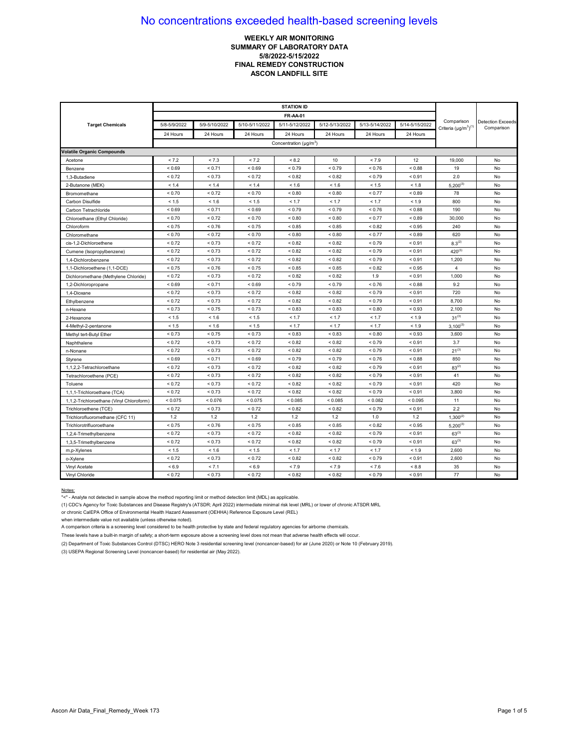## **WEEKLY AIR MONITORING SUMMARY OF LABORATORY DATA 5/8/2022-5/15/2022 FINAL REMEDY CONSTRUCTION ASCON LANDFILL SITE**

|                                          | <b>STATION ID</b> |               |                |                                    |                |                |                |                                            |                                        |
|------------------------------------------|-------------------|---------------|----------------|------------------------------------|----------------|----------------|----------------|--------------------------------------------|----------------------------------------|
|                                          |                   |               |                |                                    |                |                |                |                                            |                                        |
| <b>Target Chemicals</b>                  | 5/8-5/9/2022      | 5/9-5/10/2022 | 5/10-5/11/2022 | 5/11-5/12/2022                     | 5/12-5/13/2022 | 5/13-5/14/2022 | 5/14-5/15/2022 | Comparison<br>Criteria $(\mu g/m^3)^{(1)}$ | <b>Detection Exceeds</b><br>Comparison |
|                                          | 24 Hours          | 24 Hours      | 24 Hours       | 24 Hours                           | 24 Hours       | 24 Hours       | 24 Hours       |                                            |                                        |
|                                          |                   |               |                | Concentration (µg/m <sup>3</sup> ) |                |                |                |                                            |                                        |
| <b>Volatile Organic Compounds</b>        |                   |               |                |                                    |                |                |                |                                            |                                        |
| Acetone                                  | < 7.2             | < 7.3         | < 7.2          | < 8.2                              | 10             | < 7.9          | 12             | 19,000                                     | No                                     |
| Benzene                                  | ${}_{0.69}$       | < 0.71        | ${}_{0.69}$    | < 0.79                             | < 0.79         | < 0.76         | < 0.88         | 19                                         | No                                     |
| 1,3-Butadiene                            | ${}_{0.72}$       | < 0.73        | ${}_{0.72}$    | ${}_{0.82}$                        | < 0.82         | ${}_{0.79}$    | ${}_{0.91}$    | 2.0                                        | No                                     |
| 2-Butanone (MEK)                         | < 1.4             | < 1.4         | < 1.4          | < 1.6                              | < 1.6          | < 1.5          | < 1.8          | $5,200^{(3)}$                              | No                                     |
| Bromomethane                             | < 0.70            | < 0.72        | ${}_{0.70}$    | < 0.80                             | < 0.80         | < 0.77         | < 0.89         | 78                                         | No                                     |
| Carbon Disulfide                         | < 1.5             | < 1.6         | < 1.5          | < 1.7                              | < 1.7          | < 1.7          | < 1.9          | 800                                        | No                                     |
| Carbon Tetrachloride                     | ${}_{0.69}$       | < 0.71        | ${}_{0.69}$    | < 0.79                             | < 0.79         | ${}_{0.76}$    | ${}_{0.88}$    | 190                                        | No                                     |
| Chloroethane (Ethyl Chloride)            | < 0.70            | < 0.72        | ${}_{0.70}$    | ${}_{<0.80}$                       | ${}_{0.80}$    | < 0.77         | < 0.89         | 30,000                                     | No                                     |
| Chloroform                               | < 0.75            | < 0.76        | < 0.75         | < 0.85                             | < 0.85         | < 0.82         | < 0.95         | 240                                        | No                                     |
| Chloromethane                            | ${}_{0.70}$       | < 0.72        | ${}_{0.70}$    | ${}_{0.80}$                        | ${}_{0.80}$    | < 0.77         | ${}_{0.89}$    | 620                                        | No                                     |
| cis-1.2-Dichloroethene                   | < 0.72            | < 0.73        | ${}_{0.72}$    | < 0.82                             | ${}_{0.82}$    | < 0.79         | < 0.91         | $8.3^{(2)}$                                | No                                     |
| Cumene (Isopropylbenzene)                | < 0.72            | < 0.73        | < 0.72         | < 0.82                             | < 0.82         | < 0.79         | < 0.91         | $420^{(3)}$                                | No                                     |
| 1,4-Dichlorobenzene                      | < 0.72            | < 0.73        | < 0.72         | < 0.82                             | < 0.82         | < 0.79         | < 0.91         | 1,200                                      | No                                     |
| 1,1-Dichloroethene (1,1-DCE)             | ${}_{0.75}$       | < 0.76        | ${}_{0.75}$    | ${}_{<0.85}$                       | < 0.85         | ${}_{0.82}$    | ${}_{0.95}$    | $\overline{4}$                             | No                                     |
| Dichloromethane (Methylene Chloride)     | < 0.72            | < 0.73        | ${}_{0.72}$    | ${}_{0.82}$                        | ${}_{0.82}$    | 1.9            | < 0.91         | 1,000                                      | No                                     |
| 1,2-Dichloropropane                      | < 0.69            | < 0.71        | ${}_{0.69}$    | < 0.79                             | < 0.79         | < 0.76         | < 0.88         | 9.2                                        | No                                     |
| 1.4-Dioxane                              | < 0.72            | < 0.73        | < 0.72         | < 0.82                             | < 0.82         | < 0.79         | < 0.91         | 720                                        | No                                     |
| Ethylbenzene                             | < 0.72            | ${}_{0.73}$   | < 0.72         | < 0.82                             | < 0.82         | < 0.79         | < 0.91         | 8,700                                      | No                                     |
| n-Hexane                                 | < 0.73            | < 0.75        | ${}_{0.73}$    | ${}_{0.83}$                        | < 0.83         | < 0.80         | < 0.93         | 2,100                                      | No                                     |
| 2-Hexanone                               | < 1.5             | < 1.6         | < 1.5          | < 1.7                              | < 1.7          | < 1.7          | < 1.9          | $31^{(3)}$                                 | No                                     |
| 4-Methyl-2-pentanone                     | < 1.5             | < 1.6         | < 1.5          | < 1.7                              | < 1.7          | < 1.7          | < 1.9          | $3,100^{(3)}$                              | No                                     |
| Methyl tert-Butyl Ether                  | < 0.73            | < 0.75        | < 0.73         | < 0.83                             | < 0.83         | < 0.80         | < 0.93         | 3,600                                      | No                                     |
| Naphthalene                              | < 0.72            | < 0.73        | ${}_{0.72}$    | < 0.82                             | < 0.82         | < 0.79         | < 0.91         | 3.7                                        | No                                     |
| n-Nonane                                 | < 0.72            | < 0.73        | ${}_{0.72}$    | < 0.82                             | ${}_{0.82}$    | < 0.79         | < 0.91         | $21^{(3)}$                                 | No                                     |
| Styrene                                  | ${}_{0.69}$       | < 0.71        | ${}_{0.69}$    | < 0.79                             | < 0.79         | < 0.76         | ${}_{0.88}$    | 850                                        | No                                     |
| 1,1,2,2-Tetrachloroethane                | < 0.72            | < 0.73        | < 0.72         | < 0.82                             | < 0.82         | < 0.79         | < 0.91         | $83^{(2)}$                                 | No                                     |
| Tetrachloroethene (PCE)                  | ${}_{0.72}$       | < 0.73        | ${}_{0.72}$    | ${}_{0.82}$                        | < 0.82         | < 0.79         | < 0.91         | 41                                         | No                                     |
| Toluene                                  | < 0.72            | ${}_{0.73}$   | ${}_{0.72}$    | ${}_{0.82}$                        | ${}_{0.82}$    | < 0.79         | < 0.91         | 420                                        | No                                     |
| 1,1,1-Trichloroethane (TCA)              | < 0.72            | < 0.73        | ${}_{0.72}$    | < 0.82                             | < 0.82         | < 0.79         | ${}_{0.91}$    | 3,800                                      | No                                     |
| 1,1,2-Trichloroethane (Vinyl Chloroform) | < 0.075           | < 0.076       | < 0.075        | < 0.085                            | < 0.085        | < 0.082        | < 0.095        | 11                                         | No                                     |
| Trichloroethene (TCE)                    | < 0.72            | < 0.73        | ${}_{0.72}$    | < 0.82                             | < 0.82         | < 0.79         | < 0.91         | 2.2                                        | No                                     |
| Trichlorofluoromethane (CFC 11)          | 1.2               | 1.2           | 1.2            | 1.2                                | $1.2$          | 1.0            | 1.2            | $1,300^{(2)}$                              | No                                     |
| Trichlorotrifluoroethane                 | ${}_{0.75}$       | < 0.76        | ${}_{0.75}$    | ${}_{< 0.85}$                      | < 0.85         | ${}_{0.82}$    | ${}_{0.95}$    | $5,200^{(3)}$                              | No                                     |
| 1,2,4-Trimethylbenzene                   | < 0.72            | < 0.73        | ${}_{0.72}$    | ${}_{0.82}$                        | ${}_{0.82}$    | < 0.79         | ${}_{0.91}$    | $63^{(3)}$                                 | No                                     |
| 1,3,5-Trimethylbenzene                   | < 0.72            | < 0.73        | < 0.72         | < 0.82                             | < 0.82         | < 0.79         | < 0.91         | $63^{(3)}$                                 | No                                     |
| m,p-Xylenes                              | < 1.5             | < 1.6         | < 1.5          | < 1.7                              | < 1.7          | < 1.7          | < 1.9          | 2,600                                      | No                                     |
| o-Xylene                                 | < 0.72            | < 0.73        | ${}_{0.72}$    | < 0.82                             | ${}_{0.82}$    | < 0.79         | < 0.91         | 2,600                                      | No                                     |
| Vinyl Acetate                            | < 6.9             | < 7.1         | ${}_{5.9}$     | < 7.9                              | < 7.9          | < 7.6          | < 8.8          | 35                                         | No                                     |
| Vinyl Chloride                           | < 0.72            | < 0.73        | < 0.72         | < 0.82                             | < 0.82         | < 0.79         | < 0.91         | 77                                         | No                                     |

#### Notes:

"<" - Analyte not detected in sample above the method reporting limit or method detection limit (MDL) as applicable.

(1) CDC's Agency for Toxic Substances and Disease Registry's (ATSDR; April 2022) intermediate minimal risk level (MRL) or lower of chronic ATSDR MRL

or chronic CalEPA Office of Environmental Health Hazard Assessment (OEHHA) Reference Exposure Level (REL)

when intermediate value not available (unless otherwise noted).

A comparison criteria is a screening level considered to be health protective by state and federal regulatory agencies for airborne chemicals.

These levels have a built-in margin of safety; a short-term exposure above a screening level does not mean that adverse health effects will occur.

(2) Department of Toxic Substances Control (DTSC) HERO Note 3 residential screening level (noncancer-based) for air (June 2020) or Note 10 (February 2019).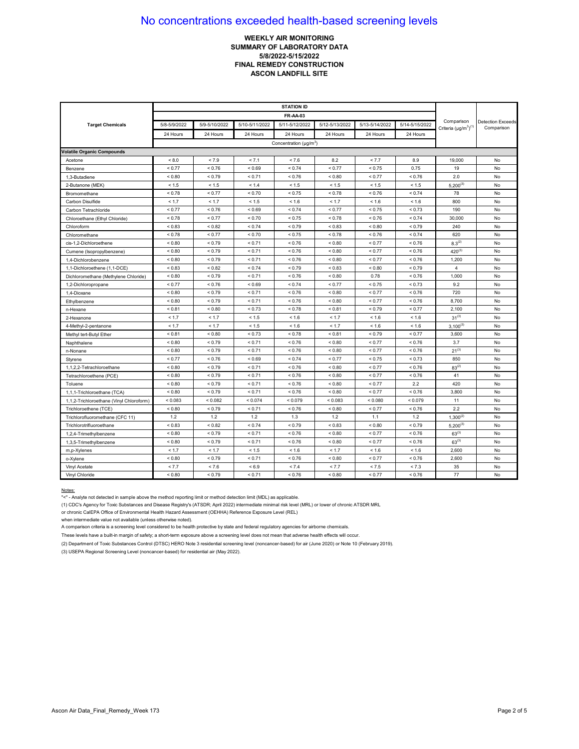## **WEEKLY AIR MONITORING SUMMARY OF LABORATORY DATA 5/8/2022-5/15/2022 FINAL REMEDY CONSTRUCTION ASCON LANDFILL SITE**

| <b>Target Chemicals</b>                  | 5/8-5/9/2022 | 5/9-5/10/2022 | 5/10-5/11/2022 | 5/11-5/12/2022                           | 5/12-5/13/2022 | 5/13-5/14/2022 | 5/14-5/15/2022 | Comparison<br>Criteria $(\mu g/m^3)^{(1)}$ | <b>Detection Exceeds</b><br>Comparison |
|------------------------------------------|--------------|---------------|----------------|------------------------------------------|----------------|----------------|----------------|--------------------------------------------|----------------------------------------|
|                                          | 24 Hours     | 24 Hours      | 24 Hours       | 24 Hours                                 | 24 Hours       | 24 Hours       | 24 Hours       |                                            |                                        |
|                                          |              |               |                | Concentration ( $\mu$ g/m <sup>3</sup> ) |                |                |                |                                            |                                        |
| <b>Volatile Organic Compounds</b>        |              |               |                |                                          |                |                |                |                                            |                                        |
| Acetone                                  | < 8.0        | < 7.9         | < 7.1          | < 7.6                                    | 8.2            | < 7.7          | 8.9            | 19,000                                     | No                                     |
| Benzene                                  | < 0.77       | < 0.76        | ${}_{0.69}$    | < 0.74                                   | < 0.77         | < 0.75         | 0.75           | 19                                         | No                                     |
| 1,3-Butadiene                            | < 0.80       | < 0.79        | < 0.71         | < 0.76                                   | < 0.80         | < 0.77         | ${}_{0.76}$    | 2.0                                        | No                                     |
| 2-Butanone (MEK)                         | < 1.5        | < 1.5         | < 1.4          | < 1.5                                    | < 1.5          | < 1.5          | < 1.5          | $5,200^{(3)}$                              | No                                     |
| Bromomethane                             | < 0.78       | < 0.77        | ${}_{0.70}$    | < 0.75                                   | ${}_{< 0.78}$  | < 0.76         | < 0.74         | 78                                         | No                                     |
| Carbon Disulfide                         | < 1.7        | < 1.7         | < 1.5          | < 1.6                                    | < 1.7          | < 1.6          | < 1.6          | 800                                        | No                                     |
| Carbon Tetrachloride                     | < 0.77       | < 0.76        | ${}_{0.69}$    | < 0.74                                   | < 0.77         | ${}_{0.75}$    | < 0.73         | 190                                        | No                                     |
| Chloroethane (Ethyl Chloride)            | < 0.78       | < 0.77        | ${}_{0.70}$    | < 0.75                                   | < 0.78         | ${}_{0.76}$    | < 0.74         | 30,000                                     | No                                     |
| Chloroform                               | < 0.83       | < 0.82        | < 0.74         | < 0.79                                   | ${}_{0.83}$    | < 0.80         | < 0.79         | 240                                        | No                                     |
| Chloromethane                            | < 0.78       | < 0.77        | ${}_{0.70}$    | < 0.75                                   | < 0.78         | < 0.76         | ${}_{0.74}$    | 620                                        | No                                     |
| cis-1.2-Dichloroethene                   | < 0.80       | < 0.79        | < 0.71         | < 0.76                                   | < 0.80         | < 0.77         | < 0.76         | $8.3^{(2)}$                                | No                                     |
| Cumene (Isopropylbenzene)                | < 0.80       | < 0.79        | < 0.71         | < 0.76                                   | ${}_{0.80}$    | < 0.77         | < 0.76         | $420^{(3)}$                                | No                                     |
| 1.4-Dichlorobenzene                      | ${}_{0.80}$  | < 0.79        | < 0.71         | < 0.76                                   | ${}_{0.80}$    | < 0.77         | < 0.76         | 1,200                                      | No                                     |
| 1,1-Dichloroethene (1,1-DCE)             | ${}_{0.83}$  | < 0.82        | < 0.74         | < 0.79                                   | < 0.83         | ${}_{0.80}$    | ${}_{0.79}$    | $\overline{4}$                             | No                                     |
| Dichloromethane (Methylene Chloride)     | < 0.80       | < 0.79        | < 0.71         | < 0.76                                   | < 0.80         | 0.78           | < 0.76         | 1,000                                      | No                                     |
| 1,2-Dichloropropane                      | < 0.77       | < 0.76        | < 0.69         | < 0.74                                   | < 0.77         | < 0.75         | < 0.73         | 9.2                                        | No                                     |
| 1,4-Dioxane                              | ${}_{0.80}$  | ${}_{0.79}$   | < 0.71         | < 0.76                                   | ${}_{0.80}$    | < 0.77         | ${}_{0.76}$    | 720                                        | No                                     |
| Ethylbenzene                             | ${}_{0.80}$  | < 0.79        | < 0.71         | < 0.76                                   | < 0.80         | < 0.77         | < 0.76         | 8,700                                      | No                                     |
| n-Hexane                                 | < 0.81       | ${}_{< 0.80}$ | < 0.73         | < 0.78                                   | ${}_{0.81}$    | < 0.79         | < 0.77         | 2,100                                      | No                                     |
| 2-Hexanone                               | < 1.7        | < 1.7         | < 1.5          | < 1.6                                    | < 1.7          | < 1.6          | < 1.6          | $31^{(3)}$                                 | No                                     |
| 4-Methyl-2-pentanone                     | < 1.7        | < 1.7         | < 1.5          | < 1.6                                    | < 1.7          | < 1.6          | < 1.6          | $3,100^{(3)}$                              | No                                     |
| Methyl tert-Butyl Ether                  | < 0.81       | ${}_{0.80}$   | < 0.73         | < 0.78                                   | < 0.81         | < 0.79         | < 0.77         | 3,600                                      | No                                     |
| Naphthalene                              | < 0.80       | < 0.79        | < 0.71         | < 0.76                                   | ${}_{0.80}$    | < 0.77         | < 0.76         | 3.7                                        | No                                     |
| n-Nonane                                 | ${}_{0.80}$  | < 0.79        | < 0.71         | < 0.76                                   | ${}_{0.80}$    | < 0.77         | ${}_{0.76}$    | $21^{(3)}$                                 | No                                     |
| Styrene                                  | < 0.77       | < 0.76        | ${}_{0.69}$    | < 0.74                                   | < 0.77         | < 0.75         | ${}_{0.73}$    | 850                                        | No                                     |
| 1,1,2,2-Tetrachloroethane                | ${}_{0.80}$  | < 0.79        | < 0.71         | < 0.76                                   | ${}_{0.80}$    | < 0.77         | < 0.76         | $83^{(2)}$                                 | No                                     |
| Tetrachloroethene (PCE)                  | ${}_{0.80}$  | ${}_{0.79}$   | < 0.71         | < 0.76                                   | ${}_{0.80}$    | < 0.77         | < 0.76         | 41                                         | No                                     |
| Toluene                                  | ${}_{0.80}$  | ${}_{0.79}$   | < 0.71         | < 0.76                                   | ${}_{0.80}$    | < 0.77         | 2.2            | 420                                        | No                                     |
| 1,1,1-Trichloroethane (TCA)              | ${}_{0.80}$  | < 0.79        | < 0.71         | < 0.76                                   | < 0.80         | < 0.77         | < 0.76         | 3,800                                      | No                                     |
| 1,1,2-Trichloroethane (Vinyl Chloroform) | < 0.083      | < 0.082       | < 0.074        | < 0.079                                  | < 0.083        | < 0.080        | < 0.079        | 11                                         | No                                     |
| Trichloroethene (TCE)                    | ${}_{0.80}$  | < 0.79        | < 0.71         | < 0.76                                   | ${}_{0.80}$    | < 0.77         | < 0.76         | 2.2                                        | No                                     |
| Trichlorofluoromethane (CFC 11)          | 1.2          | 1.2           | 1.2            | 1.3                                      | 1.2            | 1.1            | 1.2            | $1,300^{(2)}$                              | No                                     |
| Trichlorotrifluoroethane                 | ${}_{0.83}$  | ${}_{0.82}$   | < 0.74         | < 0.79                                   | ${}_{0.83}$    | ${}_{0.80}$    | ${}_{0.79}$    | $5,200^{(3)}$                              | No                                     |
| 1,2,4-Trimethylbenzene                   | < 0.80       | < 0.79        | < 0.71         | < 0.76                                   | ${}_{< 0.80}$  | < 0.77         | < 0.76         | $63^{(3)}$                                 | No                                     |
| 1,3,5-Trimethylbenzene                   | < 0.80       | < 0.79        | < 0.71         | < 0.76                                   | < 0.80         | < 0.77         | < 0.76         | $63^{(3)}$                                 | No                                     |
| m,p-Xylenes                              | < 1.7        | < 1.7         | < 1.5          | < 1.6                                    | < 1.7          | < 1.6          | < 1.6          | 2,600                                      | No                                     |
| o-Xylene                                 | < 0.80       | < 0.79        | < 0.71         | < 0.76                                   | < 0.80         | < 0.77         | < 0.76         | 2,600                                      | No                                     |
| Vinyl Acetate                            | < 7.7        | < 7.6         | ${}_{5.9}$     | < 7.4                                    | < 7.7          | < 7.5          | < 7.3          | 35                                         | No                                     |
| Vinyl Chloride                           | ${}_{0.80}$  | ${}_{0.79}$   | < 0.71         | < 0.76                                   | ${}_{0.80}$    | < 0.77         | ${}_{0.76}$    | 77                                         | No                                     |

#### Notes:

"<" - Analyte not detected in sample above the method reporting limit or method detection limit (MDL) as applicable.

(1) CDC's Agency for Toxic Substances and Disease Registry's (ATSDR; April 2022) intermediate minimal risk level (MRL) or lower of chronic ATSDR MRL

or chronic CalEPA Office of Environmental Health Hazard Assessment (OEHHA) Reference Exposure Level (REL)

when intermediate value not available (unless otherwise noted).

A comparison criteria is a screening level considered to be health protective by state and federal regulatory agencies for airborne chemicals.

These levels have a built-in margin of safety; a short-term exposure above a screening level does not mean that adverse health effects will occur.

(2) Department of Toxic Substances Control (DTSC) HERO Note 3 residential screening level (noncancer-based) for air (June 2020) or Note 10 (February 2019).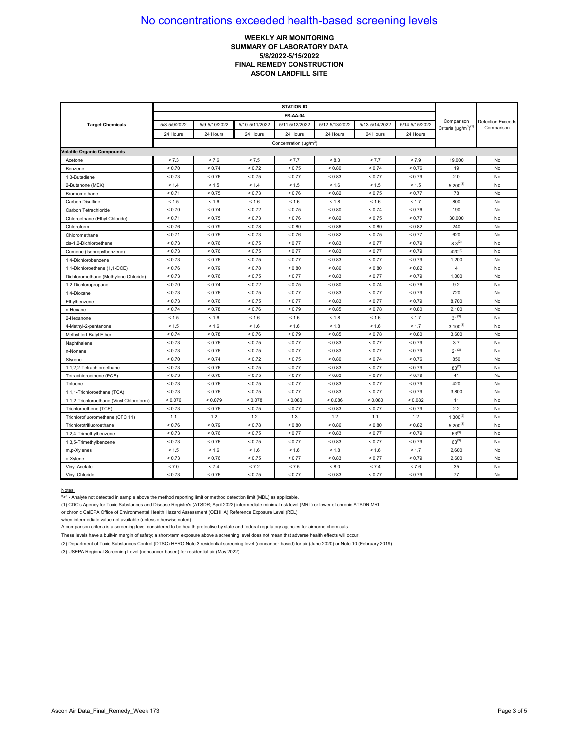## **WEEKLY AIR MONITORING SUMMARY OF LABORATORY DATA 5/8/2022-5/15/2022 FINAL REMEDY CONSTRUCTION ASCON LANDFILL SITE**

| <b>Target Chemicals</b>                  | 5/8-5/9/2022 | 5/9-5/10/2022 | 5/10-5/11/2022 | 5/11-5/12/2022                     | 5/12-5/13/2022 | 5/13-5/14/2022 | 5/14-5/15/2022 | Comparison<br>Criteria $(\mu g/m^3)^{(1)}$ | <b>Detection Exceeds</b><br>Comparison |
|------------------------------------------|--------------|---------------|----------------|------------------------------------|----------------|----------------|----------------|--------------------------------------------|----------------------------------------|
|                                          | 24 Hours     | 24 Hours      | 24 Hours       | 24 Hours                           | 24 Hours       | 24 Hours       | 24 Hours       |                                            |                                        |
|                                          |              |               |                | Concentration (µg/m <sup>3</sup> ) |                |                |                |                                            |                                        |
| <b>Volatile Organic Compounds</b>        |              |               |                |                                    |                |                |                |                                            |                                        |
| Acetone                                  | < 7.3        | < 7.6         | < 7.5          | < 7.7                              | < 8.3          | < 7.7          | < 7.9          | 19,000                                     | No                                     |
| Benzene                                  | < 0.70       | < 0.74        | < 0.72         | < 0.75                             | ${}_{0.80}$    | < 0.74         | < 0.76         | 19                                         | No                                     |
| 1,3-Butadiene                            | ${}_{0.73}$  | < 0.76        | < 0.75         | < 0.77                             | ${}_{< 0.83}$  | < 0.77         | ${}_{0.79}$    | 2.0                                        | No                                     |
| 2-Butanone (MEK)                         | < 1.4        | < 1.5         | < 1.4          | < 1.5                              | < 1.6          | < 1.5          | < 1.5          | $5,200^{(3)}$                              | No                                     |
| Bromomethane                             | < 0.71       | < 0.75        | < 0.73         | < 0.76                             | < 0.82         | < 0.75         | < 0.77         | 78                                         | No                                     |
| Carbon Disulfide                         | < 1.5        | < 1.6         | < 1.6          | < 1.6                              | < 1.8          | < 1.6          | < 1.7          | 800                                        | No                                     |
| Carbon Tetrachloride                     | < 0.70       | < 0.74        | < 0.72         | < 0.75                             | < 0.80         | < 0.74         | < 0.76         | 190                                        | No                                     |
| Chloroethane (Ethyl Chloride)            | < 0.71       | < 0.75        | < 0.73         | < 0.76                             | < 0.82         | < 0.75         | < 0.77         | 30,000                                     | No                                     |
| Chloroform                               | < 0.76       | < 0.79        | ${}_{0.78}$    | < 0.80                             | ${}_{0.86}$    | ${}_{0.80}$    | ${}_{< 0.82}$  | 240                                        | No                                     |
| Chloromethane                            | < 0.71       | < 0.75        | ${}_{0.73}$    | < 0.76                             | ${}_{0.82}$    | < 0.75         | < 0.77         | 620                                        | No                                     |
| cis-1.2-Dichloroethene                   | < 0.73       | < 0.76        | < 0.75         | < 0.77                             | ${}_{0.83}$    | < 0.77         | ${}_{0.79}$    | $8.3^{(2)}$                                | No                                     |
| Cumene (Isopropylbenzene)                | < 0.73       | < 0.76        | < 0.75         | < 0.77                             | ${}_{0.83}$    | < 0.77         | < 0.79         | $420^{(3)}$                                | No                                     |
| 1,4-Dichlorobenzene                      | < 0.73       | < 0.76        | < 0.75         | < 0.77                             | ${}_{0.83}$    | < 0.77         | < 0.79         | 1,200                                      | No                                     |
| 1,1-Dichloroethene (1,1-DCE)             | < 0.76       | < 0.79        | ${}_{0.78}$    | ${}_{0.80}$                        | < 0.86         | ${}_{0.80}$    |                | 4                                          | No                                     |
| Dichloromethane (Methylene Chloride)     | < 0.73       | ${}< 0.76$    | < 0.75         | < 0.77                             | ${}_{0.83}$    | < 0.77         | ${}_{0.79}$    | 1,000                                      | No                                     |
| 1,2-Dichloropropane                      | < 0.70       | < 0.74        | ${}_{0.72}$    | < 0.75                             | ${}_{0.80}$    | < 0.74         | ${}_{0.76}$    | 9.2                                        | No                                     |
| 1.4-Dioxane                              | < 0.73       | < 0.76        | < 0.75         | < 0.77                             | ${}_{0.83}$    | < 0.77         | < 0.79         | 720                                        | No                                     |
| Ethylbenzene                             | < 0.73       | < 0.76        | < 0.75         | < 0.77                             | < 0.83         | < 0.77         | < 0.79         | 8,700                                      | No                                     |
| n-Hexane                                 | < 0.74       | < 0.78        | < 0.76         | < 0.79                             | < 0.85         | < 0.78         | ${}_{< 0.80}$  | 2,100                                      | No                                     |
| 2-Hexanone                               | < 1.5        | < 1.6         | < 1.6          | < 1.6                              | < 1.8          | < 1.6          | < 1.7          | $31^{(3)}$                                 | No                                     |
| 4-Methyl-2-pentanone                     | < 1.5        | < 1.6         | < 1.6          | < 1.6                              | < 1.8          | < 1.6          | < 1.7          | $3,100^{(3)}$                              | No                                     |
| Methyl tert-Butyl Ether                  | < 0.74       | ${}_{0.78}$   | < 0.76         | < 0.79                             | ${}_{0.85}$    | ${}_{0.78}$    | ${}_{0.80}$    | 3,600                                      | No                                     |
| Naphthalene                              | < 0.73       | < 0.76        | < 0.75         | < 0.77                             | < 0.83         | < 0.77         | < 0.79         | 3.7                                        | No                                     |
| n-Nonane                                 | < 0.73       | < 0.76        | < 0.75         | < 0.77                             | < 0.83         | < 0.77         | < 0.79         | $21^{(3)}$                                 | No                                     |
| Styrene                                  | ${}_{0.70}$  | ${}_{0.74}$   | < 0.72         | < 0.75                             | ${}_{0.80}$    | < 0.74         | ${}_{0.76}$    | 850                                        | No                                     |
| 1,1,2,2-Tetrachloroethane                | < 0.73       | ${}< 0.76$    | < 0.75         | < 0.77                             | ${}_{0.83}$    | < 0.77         | ${}_{0.79}$    | $83^{(2)}$                                 | No                                     |
| Tetrachloroethene (PCE)                  | < 0.73       | < 0.76        | < 0.75         | < 0.77                             | ${}_{0.83}$    | < 0.77         | ${}_{0.79}$    | 41                                         | No                                     |
| Toluene                                  | < 0.73       | < 0.76        | < 0.75         | < 0.77                             | ${}_{0.83}$    | < 0.77         | < 0.79         | 420                                        | No                                     |
| 1,1,1-Trichloroethane (TCA)              | < 0.73       | < 0.76        | < 0.75         | < 0.77                             | ${}_{0.83}$    | < 0.77         | < 0.79         | 3,800                                      | No                                     |
| 1,1,2-Trichloroethane (Vinyl Chloroform) | < 0.076      | < 0.079       | < 0.078        | < 0.080                            | < 0.086        | < 0.080        | < 0.082        | 11                                         | No                                     |
| Trichloroethene (TCE)                    | < 0.73       | ${}< 0.76$    | < 0.75         | < 0.77                             | < 0.83         | < 0.77         | ${}_{0.79}$    | 2.2                                        | No                                     |
| Trichlorofluoromethane (CFC 11)          | 1.1          | 1.2           | 1.2            | 1.3                                | 1.2            | 1.1            | 1.2            | $1,300^{(2)}$                              | No                                     |
| Trichlorotrifluoroethane                 | < 0.76       | ${}_{0.79}$   | ${}_{0.78}$    | ${}_{0.80}$                        | ${}_{0.86}$    | ${}_{0.80}$    | ${}_{0.82}$    | $5.200^{(3)}$                              | No                                     |
| 1,2,4-Trimethylbenzene                   | < 0.73       | < 0.76        | < 0.75         | < 0.77                             | < 0.83         | < 0.77         | < 0.79         | $63^{(3)}$                                 | No                                     |
| 1,3,5-Trimethylbenzene                   | < 0.73       | < 0.76        | < 0.75         | < 0.77                             | < 0.83         | < 0.77         | < 0.79         | $63^{(3)}$                                 | No                                     |
| m,p-Xylenes                              | < 1.5        | < 1.6         | < 1.6          | < 1.6                              | < 1.8          | < 1.6          | < 1.7          | 2,600                                      | No                                     |
| o-Xylene                                 | < 0.73       | ${}< 0.76$    | < 0.75         | < 0.77                             | ${}_{0.83}$    | < 0.77         | ${}_{0.79}$    | 2.600                                      | No                                     |
| Vinyl Acetate                            | < 7.0        | < 7.4         | < 7.2          | < 7.5                              | ${}_{8.0}$     | < 7.4          | < 7.6          | 35                                         | No                                     |
| Vinyl Chloride                           | < 0.73       | < 0.76        | < 0.75         | < 0.77                             | ${}_{0.83}$    | < 0.77         | < 0.79         | 77                                         | No                                     |

#### Notes:

"<" - Analyte not detected in sample above the method reporting limit or method detection limit (MDL) as applicable.

(1) CDC's Agency for Toxic Substances and Disease Registry's (ATSDR; April 2022) intermediate minimal risk level (MRL) or lower of chronic ATSDR MRL

or chronic CalEPA Office of Environmental Health Hazard Assessment (OEHHA) Reference Exposure Level (REL)

when intermediate value not available (unless otherwise noted).

A comparison criteria is a screening level considered to be health protective by state and federal regulatory agencies for airborne chemicals.

These levels have a built-in margin of safety; a short-term exposure above a screening level does not mean that adverse health effects will occur.

(2) Department of Toxic Substances Control (DTSC) HERO Note 3 residential screening level (noncancer-based) for air (June 2020) or Note 10 (February 2019).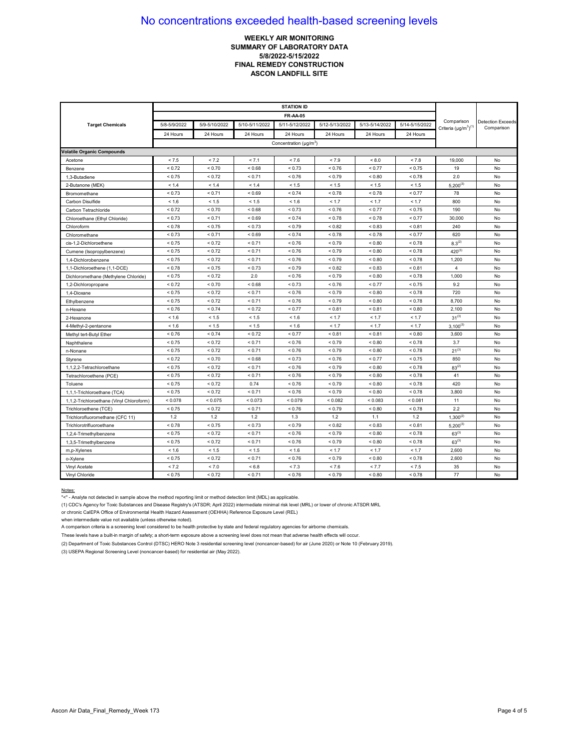## **WEEKLY AIR MONITORING SUMMARY OF LABORATORY DATA 5/8/2022-5/15/2022 FINAL REMEDY CONSTRUCTION ASCON LANDFILL SITE**

| <b>Target Chemicals</b>                  | 5/8-5/9/2022 | 5/9-5/10/2022 | 5/10-5/11/2022 | 5/11-5/12/2022                           | 5/12-5/13/2022 | 5/13-5/14/2022 | 5/14-5/15/2022 | Comparison<br>Criteria $(\mu g/m^3)^{(1)}$ | <b>Detection Exceeds</b><br>Comparison |
|------------------------------------------|--------------|---------------|----------------|------------------------------------------|----------------|----------------|----------------|--------------------------------------------|----------------------------------------|
|                                          | 24 Hours     | 24 Hours      | 24 Hours       | 24 Hours                                 | 24 Hours       | 24 Hours       | 24 Hours       |                                            |                                        |
|                                          |              |               |                | Concentration ( $\mu$ g/m <sup>3</sup> ) |                |                |                |                                            |                                        |
| <b>Volatile Organic Compounds</b>        |              |               |                |                                          |                |                |                |                                            |                                        |
| Acetone                                  | < 7.5        | < 7.2         | < 7.1          | < 7.6                                    | < 7.9          | < 8.0          | < 7.8          | 19,000                                     | No                                     |
| Benzene                                  | < 0.72       | ${}_{0.70}$   | ${}_{0.68}$    | < 0.73                                   | ${}_{0.76}$    | < 0.77         | ${}_{0.75}$    | 19                                         | No                                     |
| 1,3-Butadiene                            | < 0.75       | < 0.72        | < 0.71         | < 0.76                                   | < 0.79         | ${}_{0.80}$    | ${}_{0.78}$    | 2.0                                        | No                                     |
| 2-Butanone (MEK)                         | < 1.4        | < 1.4         | < 1.4          | < 1.5                                    | < 1.5          | < 1.5          | < 1.5          | $5,200^{(3)}$                              | No                                     |
| Bromomethane                             | < 0.73       | < 0.71        | ${}_{0.69}$    | < 0.74                                   | ${}_{< 0.78}$  | < 0.78         | < 0.77         | 78                                         | No                                     |
| Carbon Disulfide                         | < 1.6        | < 1.5         | < 1.5          | < 1.6                                    | < 1.7          | < 1.7          | < 1.7          | 800                                        | No                                     |
| Carbon Tetrachloride                     | < 0.72       | < 0.70        | ${}_{0.68}$    | < 0.73                                   | < 0.76         | < 0.77         | < 0.75         | 190                                        | No                                     |
| Chloroethane (Ethyl Chloride)            | < 0.73       | < 0.71        | ${}_{0.69}$    | < 0.74                                   | < 0.78         | ${}_{0.78}$    | < 0.77         | 30,000                                     | No                                     |
| Chloroform                               | < 0.78       | < 0.75        | < 0.73         | < 0.79                                   | < 0.82         | < 0.83         | < 0.81         | 240                                        | No                                     |
| Chloromethane                            | < 0.73       | < 0.71        | ${}_{<0.69}$   | < 0.74                                   | < 0.78         | < 0.78         | < 0.77         | 620                                        | No                                     |
| cis-1.2-Dichloroethene                   | < 0.75       | < 0.72        | < 0.71         | < 0.76                                   | < 0.79         | < 0.80         | < 0.78         | $8.3^{(2)}$                                | No                                     |
| Cumene (Isopropylbenzene)                | < 0.75       | < 0.72        | < 0.71         | < 0.76                                   | < 0.79         | ${}_{0.80}$    | < 0.78         | $420^{(3)}$                                | No                                     |
| 1.4-Dichlorobenzene                      | < 0.75       | < 0.72        | < 0.71         | < 0.76                                   | < 0.79         | ${}_{0.80}$    | < 0.78         | 1,200                                      | No                                     |
| 1,1-Dichloroethene (1,1-DCE)             | ${}_{5.78}$  | < 0.75        | < 0.73         | < 0.79                                   | < 0.82         | ${}_{0.83}$    | ${}_{0.81}$    | $\overline{4}$                             | No                                     |
| Dichloromethane (Methylene Chloride)     | < 0.75       | < 0.72        | 2.0            | < 0.76                                   | < 0.79         | < 0.80         | < 0.78         | 1,000                                      | No                                     |
| 1,2-Dichloropropane                      | < 0.72       | < 0.70        | < 0.68         | < 0.73                                   | < 0.76         | < 0.77         | < 0.75         | 9.2                                        | No                                     |
| 1,4-Dioxane                              | < 0.75       | ${}_{0.72}$   | < 0.71         | < 0.76                                   | ${}_{0.79}$    | ${}_{0.80}$    | ${}_{0.78}$    | 720                                        | No                                     |
| Ethylbenzene                             | < 0.75       | < 0.72        | < 0.71         | < 0.76                                   | < 0.79         | < 0.80         | < 0.78         | 8,700                                      | No                                     |
| n-Hexane                                 | < 0.76       | < 0.74        | < 0.72         | < 0.77                                   | ${}_{0.81}$    | < 0.81         | ${}_{0.80}$    | 2,100                                      | No                                     |
| 2-Hexanone                               | < 1.6        | < 1.5         | < 1.5          | < 1.6                                    | < 1.7          | < 1.7          | < 1.7          | $31^{(3)}$                                 | No                                     |
| 4-Methyl-2-pentanone                     | < 1.6        | < 1.5         | < 1.5          | < 1.6                                    | < 1.7          | < 1.7          | < 1.7          | $3,100^{(3)}$                              | No                                     |
| Methyl tert-Butyl Ether                  | < 0.76       | < 0.74        | < 0.72         | < 0.77                                   | < 0.81         | < 0.81         | ${}_{< 0.80}$  | 3,600                                      | No                                     |
| Naphthalene                              | < 0.75       | < 0.72        | < 0.71         | < 0.76                                   | < 0.79         | < 0.80         | < 0.78         | 3.7                                        | No                                     |
| n-Nonane                                 | < 0.75       | < 0.72        | < 0.71         | < 0.76                                   | ${}_{0.79}$    | ${}_{0.80}$    | ${}_{0.78}$    | $21^{(3)}$                                 | No                                     |
| Styrene                                  | < 0.72       | < 0.70        | ${}_{0.68}$    | < 0.73                                   | < 0.76         | < 0.77         | ${}_{0.75}$    | 850                                        | No                                     |
| 1,1,2,2-Tetrachloroethane                | < 0.75       | < 0.72        | < 0.71         | < 0.76                                   | ${}_{0.79}$    | ${}_{0.80}$    | < 0.78         | $83^{(2)}$                                 | No                                     |
| Tetrachloroethene (PCE)                  | < 0.75       | < 0.72        | < 0.71         | < 0.76                                   | ${}_{0.79}$    | ${}_{0.80}$    | ${}_{0.78}$    | 41                                         | No                                     |
| Toluene                                  | < 0.75       | ${}_{0.72}$   | 0.74           | < 0.76                                   | ${}_{0.79}$    | ${}_{0.80}$    | ${}_{0.78}$    | 420                                        | No                                     |
| 1,1,1-Trichloroethane (TCA)              | < 0.75       | < 0.72        | < 0.71         | < 0.76                                   | < 0.79         | < 0.80         | < 0.78         | 3,800                                      | No                                     |
| 1,1,2-Trichloroethane (Vinyl Chloroform) | < 0.078      | < 0.075       | < 0.073        | < 0.079                                  | < 0.082        | < 0.083        | < 0.081        | 11                                         | No                                     |
| Trichloroethene (TCE)                    | < 0.75       | ${}_{0.72}$   | < 0.71         | < 0.76                                   | < 0.79         | ${}_{0.80}$    | ${}_{0.78}$    | 2.2                                        | No                                     |
| Trichlorofluoromethane (CFC 11)          | 1.2          | 1.2           | 1.2            | 1.3                                      | 1.2            | 1.1            | 1.2            | $1,300^{(2)}$                              | No                                     |
| Trichlorotrifluoroethane                 | < 0.78       | < 0.75        | < 0.73         | < 0.79                                   | ${}_{0.82}$    | ${}_{0.83}$    | ${}_{0.81}$    | $5,200^{(3)}$                              | No                                     |
| 1,2,4-Trimethylbenzene                   | < 0.75       | < 0.72        | < 0.71         | < 0.76                                   | < 0.79         | < 0.80         | < 0.78         | $63^{(3)}$                                 | No                                     |
| 1,3,5-Trimethylbenzene                   | < 0.75       | < 0.72        | < 0.71         | < 0.76                                   | < 0.79         | ${}_{0.80}$    | < 0.78         | $63^{(3)}$                                 | No                                     |
| m,p-Xylenes                              | < 1.6        | < 1.5         | < 1.5          | < 1.6                                    | < 1.7          | < 1.7          | < 1.7          | 2,600                                      | No                                     |
| o-Xylene                                 | < 0.75       | < 0.72        | < 0.71         | < 0.76                                   | < 0.79         | ${}_{0.80}$    | ${}_{< 0.78}$  | 2,600                                      | No                                     |
| Vinyl Acetate                            | < 7.2        | < 7.0         | ${}< 6.8$      | < 7.3                                    | < 7.6          | < 7.7          | < 7.5          | 35                                         | No                                     |
| Vinyl Chloride                           | < 0.75       | ${}_{0.72}$   | < 0.71         | < 0.76                                   | ${}_{0.79}$    | ${}_{0.80}$    | ${}_{0.78}$    | 77                                         | No                                     |

#### Notes:

"<" - Analyte not detected in sample above the method reporting limit or method detection limit (MDL) as applicable.

(1) CDC's Agency for Toxic Substances and Disease Registry's (ATSDR; April 2022) intermediate minimal risk level (MRL) or lower of chronic ATSDR MRL

or chronic CalEPA Office of Environmental Health Hazard Assessment (OEHHA) Reference Exposure Level (REL)

when intermediate value not available (unless otherwise noted).

A comparison criteria is a screening level considered to be health protective by state and federal regulatory agencies for airborne chemicals.

These levels have a built-in margin of safety; a short-term exposure above a screening level does not mean that adverse health effects will occur.

(2) Department of Toxic Substances Control (DTSC) HERO Note 3 residential screening level (noncancer-based) for air (June 2020) or Note 10 (February 2019).